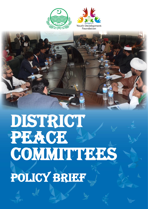



# DISTRICT PEACE **COMMITTEES** Policy Brief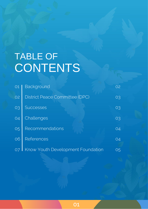## TABLE OF CONTENTS

| <b>O1</b> | Background                               | 02 |
|-----------|------------------------------------------|----|
| 02        | District Peace Committee (DPC)           | 03 |
| 03        | <b>Successes</b>                         | 03 |
| 04        | Challenges                               | 03 |
| 05        | Recommendations                          | 04 |
| 06        | <b>References</b>                        | 04 |
| 07        | <b>Know Youth Development Foundation</b> | 05 |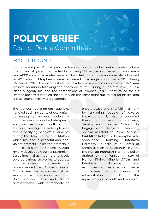### **POLICY BRIEF** District Peace Committees

#### 1. BACKGROUND

In the recent past, Punjab province has seen incidents of violent extremism where the provincial government acted by booking 218 people on charges of hate speech and 4000 social media sites were blocked<sup>1</sup>. Religious intolerance was also observed as 42 cases of blasphemy were registered in a single month in 2020<sup>2</sup>. During Muharram 2020, the extremist elements attacked a procession in Chatuchak Okara despite mourners following the approved route<sup>3</sup>. During Muharram 2020, a Shia cleric allegedly insulted the companions of Prophet (PBUH) that called for his immediate arrest but fled the country on the same night due to fear for his life, and a case against him was registered $^4$ .

The various government agencies handled such incidents of extremism by engaging religious leaders at multiple levels to counter hate speech and resolve local conflicts. For example, the religious leaders played a role in pacifying people's sentiments during the Asia Bibi case in Multan, which resulted in peaceful and nonviolent protests, unlike the protests in other cities such as Karachi. In 2018, NACTA developed Counter Extremism Guidelines that comprehensively covered various strategies to address multiple drivers of extremism. It recommended that Amman (Peace) Committees be established at all levels of administration, including Union Council, Tehsil and District administration, with a mandate to

ensure peace and interfaith harmony by engaging people of diverse backgrounds. It also encouraged these committees to conceive, develop and implement Community Engagement Projects. Recently, Special Assistant to Prime Minister (SAPM) on Religious Harmony has also announced forming Interfaith Harmony Councils<sup>5</sup> at all levels of administration in the country. In 2020, the Punjab Interfaith Harmony policy drafted by the Punjab Ministry of Human Rights, Minority Affairs, and Interfaith Harmony also recommended establishing peace committees at all levels of administration with the representation of youth and women<sup>6</sup>.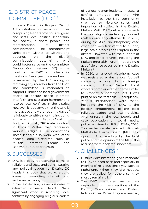#### 2. DISTRICT PEACE COMMITTEE (DPC) <sup>7</sup>

In each District in Punjab, District Administration notifies a committee comprising leaders of various religions and sects, local political leadership, civil society, business people, and representation of district administration. The membership<sup>8</sup> varies from District to District and depends on the district administration, determining who could better serve on the committee. Deputy Commissioner (DC) is the head of the DPC and chairs its meetings. Every year, its membership is reviewed by the DC, adding or removing any member from the DPC. The committee is mandated to support District and local government efforts to ensure peace, promote interfaith and sectarian harmony and resolve local conflicts in the district. However, it is observed that the DPC is more active and vibrant during days of religiously sensitive months, including Muharram and Rabi-ul-Awal. In Southern Punjab, DPC is also involved in District Multan that represents various religious denominations. These leaders also work with other peacebuilding platforms such as Multan Interfaith Forum and Bahawalpur Support Group.

#### 3. SUCCESSES

- ➢ DPC is a body representing all major religions and sects and administrative and political leadership. District DC heads this body that works around issues of promoting interfaith and sectarian harmony.
- ➢ In the last decade, numerous cases of extremist violence depict DPC's significant work in resolving local conflicts by engaging religious leaders

of various denominations. In 2013, a conflict emerged on the Alm installation by the Shia community that led to violence series and imposition of curfew in the District Multan. With DPC deliberations with the top religious leadership, resolved matters amicably afterwards. In 2018, during the Asia Bibi blasphemy case when she was transferred to Multan, large-scale processions erupted in the district. However, with the support of DPC and other forums, including the Multan Interfaith Forum, not a single act of violence occurred in the District Multan.<sup>9</sup>

➢ In 2020, an alleged blasphemy case was registered against a local football company working for a foreign company in District Sialkot<sup>10</sup>. Local workers complained that name similar to Prophet Muhammad PBUH was printed on the footballs. Subsequently, various interventions were made, including the visit of DPC to the locality, engagement of the local religious leaders, and local notables. After unrest in the local people and case publication on social media, police registered an FIR on 1st May 2020. This matter was also referred to Punjab Muttahida Ulema Board (MUB) for opinion. After scrutiny by the local police and the opinion of the MUB, the accused were declared innocents.<sup>11</sup>

#### 4. CHALLENGES<sup>12</sup>

- ➢ District Administration gives mandate to DPC on need basis and especially in months of religious sensitivity such as Muharram. When they are needed, they are called for; otherwise, they mostly remain lull.
- ➢ The DPC mandates are entirely dependent on the directions of the Deputy Commissioner and District Police Officer. When they are needed,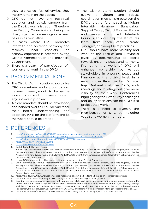they are called for; otherwise, they mostly remain on the papers.

- ➢ DPC do not have any technical, operation and logistic support from the District Administration. Therefore, the Deputy Commissioner being the chair, organize its meetings on a need basis in its own office.
- ➢ In cases where DPC promotes interfaith and sectarian harmony and resolves local conflicts, no acknowledgement is accorded by the District Administration and provincial government.
- ➢ There is a dearth of participation of women and youth in the DPC.<sup>13</sup>

#### 5. RECOMMENDATIONS

- ➢ The District Administration should give DPC a secretariat and support to hold its meeting every month to discuss the local situation and propose solutions to any untoward problem.
- ➢ A clear mandate should be developed and handed over to DPC members for their better understanding and adoption. TORs for the platform and its members should be drafted.
- ➢ The District Administration should evolve a vibrant and robust coordination mechanism between the DPC and other forums such as Multan Interfaith Harmony, Bahawalpur Support Group, District Women Forum and newly announced Interfaith Councils. This will help the structures learn from each other, create synergies, and adopt best practices.
- ➢ DPC should have more visibility and work at the District and Provincial levels by documenting its efforts towards ensuring peace and harmony. Promoting the work of DPC will enhance ownership by various stakeholders in ensuring peace and harmony at the district level. In a recent move, Provincial Law Minister Raja Basharat met the DPCs; such meetings and briefings will give more visibility to their work. Conferences highlighting their work, key challenges and policy decisions can help DPCs to project their work.
- ➢ There is a need to diversify the membership of DPC by including youth and women members.

#### 6. REFERENCES

- 
- 1. <https://tribune.com.pk/story/2262678/218-booked-over-hate-speech-during-muharram-463><br>2. https://nayadaur.tv/2020/09/42-blasphemy-cases-registered-in-pakistan-in-last-30-days/ 2. <https://nayadaur.tv/2020/09/42-blasphemy-cases-registered-in-pakistan-in-last-30-days/>
- 3. <https://twitter.com/mjibrannasir/status/1301521596935557120?lang=en>
- 4. <https://www.dawn.com/news/456692>
- 5. <https://www.dawn.com/news/1584950>
- 6. Draft Interfaith Harmony Policy
- 7. Information was collected from various previous members, including Maulana Khalid Nadeem, Abdul Haq Mujahid, Maulana Farooq Khan, and Khawar Husnain Bhutta from Multan, Syed Waseem Haider Gardezi, Hafiz Kazim Raza, Mufti Shabbir Anjum, Muhammad Zubair Abid, and Allama Abdul Mustafa Chishti from Lahore, and Safdar Kolachi from Bahawalpur of the District Peace Committees.
- 8. Lahore DPC membership is 41 as against different numbers in other District Committees
- 9. Short Interviews of religious leaders/members of DPCs, including Maulana Khalid Nadeem, Abdul Haq Mujahid, Maulana Farooq Khan, and Khawar Husnain Bhutta from Multan, Syed Waseem Haider Gardezi, Hafiz Kazim Raza, Mufti Shabbir Anjum, Muhammad Zubair Abid, and Allama Abdul Mustafa Chishti from Lahore, and Safdar Kolachi from Bahawalpur of the District Peace Committees were done. Other than these, members of Multan Interfaith Forum, such as Mujahid Abbas Gardezi, is also interviewed.
- 10. https://nayadaur.tv/2020/05/blasphemy-case-registered-against-sialkot-football-maker-after-extremists-protest/
- 11. Letter# 8174-A/L dated 20th May 2020 issued by the office of District Police Officer, Sialkot
- 12. Based on the interaction and discussion with various journalists, civil society members, and religious leaders, including Pir Ubaid Saddarpuri, Allama Mujahid Abbas Gardezi, Maulana Abdul Hanan Haideri, Maulana Abdul Majid Wattoo, Khawaja Abdul Aziz, The Media Foundation, Zain Baloch, Carnelian Pvt Ltd, Shahid Rehmat, Executive Director, Youth Development Foundation, Mumtaz Hussain, Executive Director, CHANGE and Hasnain Tirmizi, Program Manager, Media foundation360.

04

13. Letter# No.POB-1-22/2019 dated 04th November 2019 issued by the office of Deputy Commissioner, Multan